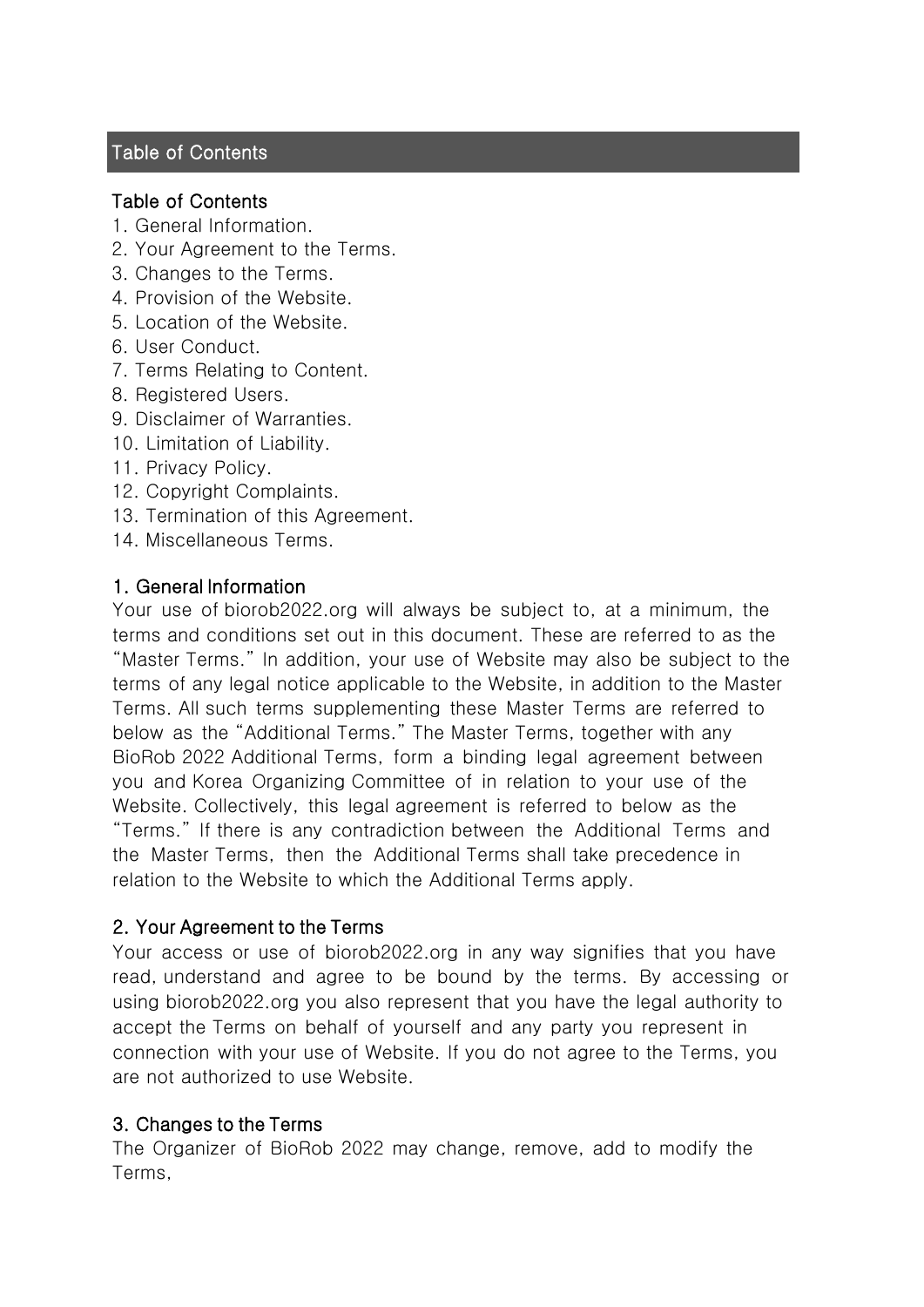## **Table of Contents**

### Table of Contents

- 1. General Information.
- 2. Your Agreement to the Terms.
- 3. Changes to the Terms.
- 4. Provision of the Website.
- 5. Location of the Website.
- 6. User Conduct.
- 7. Terms Relating to Content.
- 8. Registered Users.
- 9. Disclaimer of Warranties.
- 10. Limitation of Liability.
- 11. Privacy Policy.
- 12. Copyright Complaints.
- 13. Termination of this Agreement.
- 14. Miscellaneous Terms.

#### 1. General Information

Your use of biorob2022.org will always be subject to, at a minimum, the terms and conditions set out in this document. These are referred to as the "Master Terms." In addition, your use of Website may also be subject to the terms of any legal notice applicable to the Website, in addition to the Master Terms. All such terms supplementing these Master Terms are referred to below as the "Additional Terms." The Master Terms, together with any BioRob 2022 Additional Terms, form a binding legal agreement between you and Korea Organizing Committee of in relation to your use of the Website. Collectively, this legal agreement is referred to below as the "Terms." If there is any contradiction between the Additional Terms and the Master Terms, then the Additional Terms shall take precedence in relation to the Website to which the Additional Terms apply.

#### 2. Your Agreement to the Terms

Your access or use of biorob2022.org in any way signifies that you have read, understand and agree to be bound by the terms. By accessing or using biorob2022.org you also represent that you have the legal authority to accept the Terms on behalf of yourself and any party you represent in connection with your use of Website. If you do not agree to the Terms, you are not authorized to use Website.

#### 3. Changes to the Terms

The Organizer of BioRob 2022 may change, remove, add to modify the Terms,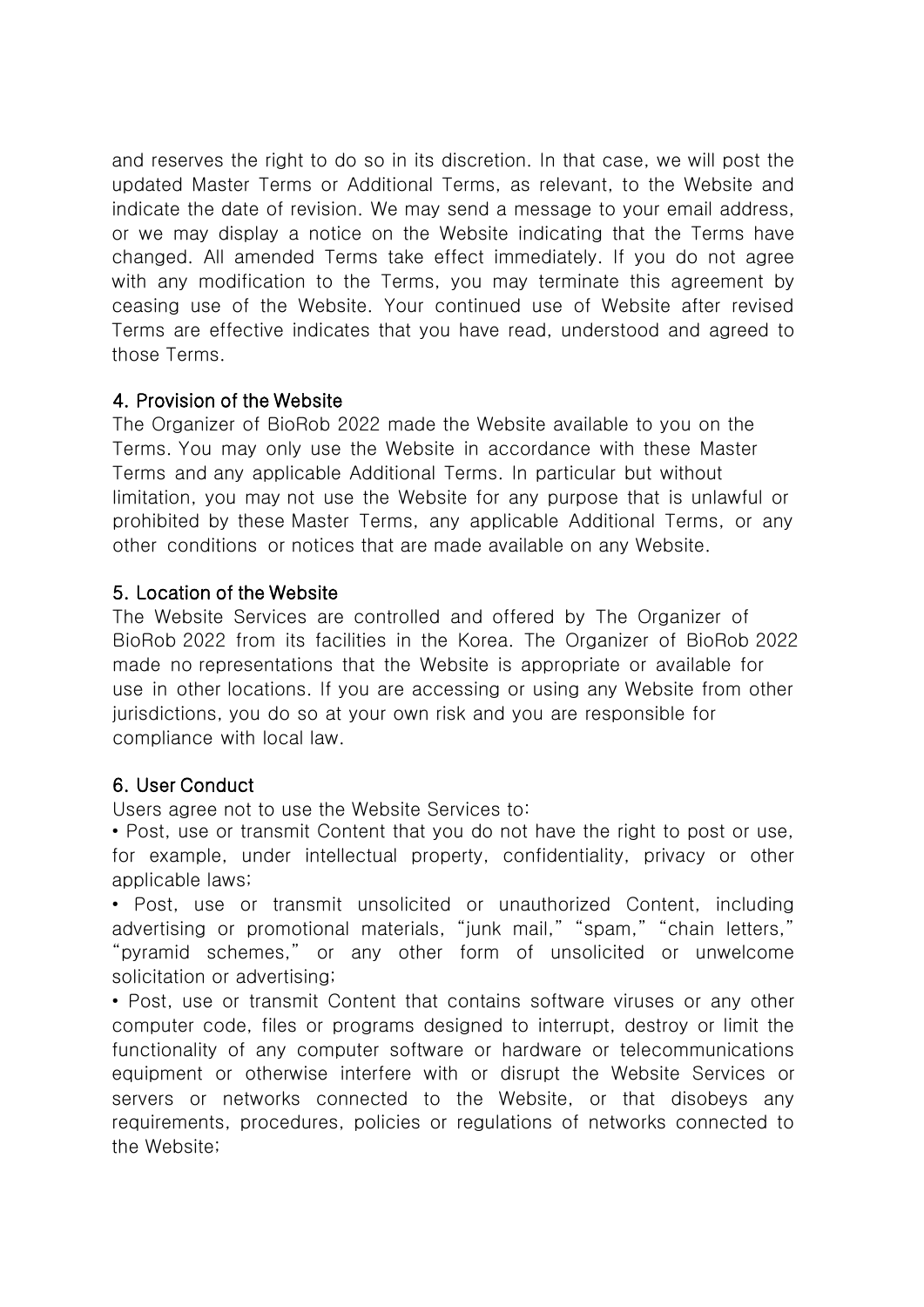and reserves the right to do so in its discretion. In that case, we will post the updated Master Terms or Additional Terms, as relevant, to the Website and indicate the date of revision. We may send a message to your email address, or we may display a notice on the Website indicating that the Terms have changed. All amended Terms take effect immediately. If you do not agree with any modification to the Terms, you may terminate this agreement by ceasing use of the Website. Your continued use of Website after revised Terms are effective indicates that you have read, understood and agreed to those Terms.

## 4. Provision of the Website

The Organizer of BioRob 2022 made the Website available to you on the Terms. You may only use the Website in accordance with these Master Terms and any applicable Additional Terms. In particular but without limitation, you may not use the Website for any purpose that is unlawful or prohibited by these Master Terms, any applicable Additional Terms, or any other conditions or notices that are made available on any Website.

### 5. Location of the Website

The Website Services are controlled and offered by The Organizer of BioRob 2022 from its facilities in the Korea. The Organizer of BioRob 2022 made no representations that the Website is appropriate or available for use in other locations. If you are accessing or using any Website from other jurisdictions, you do so at your own risk and you are responsible for compliance with local law.

# 6. User Conduct

Users agree not to use the Website Services to:

• Post, use or transmit Content that you do not have the right to post or use, for example, under intellectual property, confidentiality, privacy or other applicable laws;

• Post, use or transmit unsolicited or unauthorized Content, including advertising or promotional materials, "junk mail," "spam," "chain letters," "pyramid schemes," or any other form of unsolicited or unwelcome solicitation or advertising;

• Post, use or transmit Content that contains software viruses or any other computer code, files or programs designed to interrupt, destroy or limit the functionality of any computer software or hardware or telecommunications equipment or otherwise interfere with or disrupt the Website Services or servers or networks connected to the Website, or that disobeys any requirements, procedures, policies or regulations of networks connected to the Website;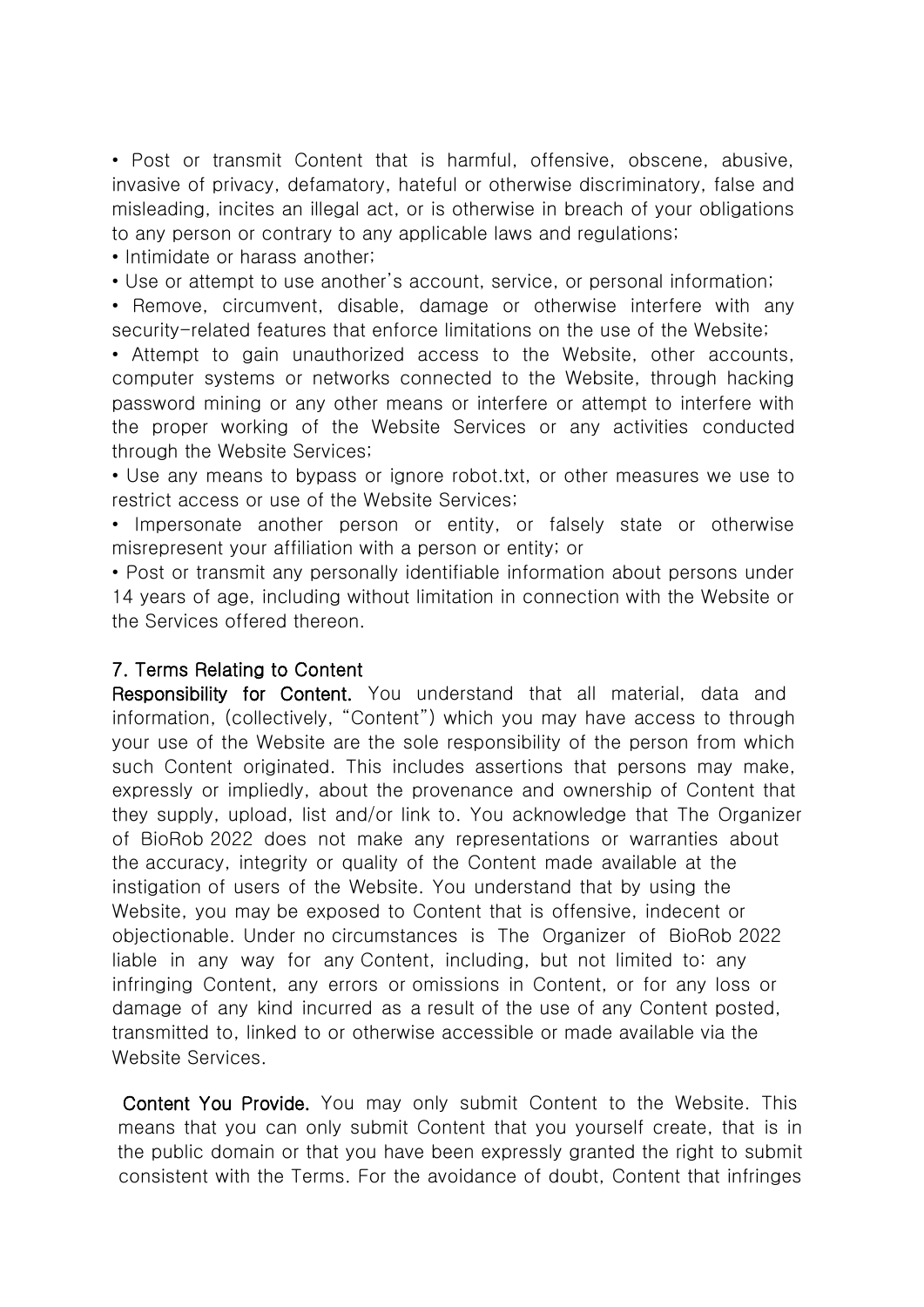• Post or transmit Content that is harmful, offensive, obscene, abusive, invasive of privacy, defamatory, hateful or otherwise discriminatory, false and misleading, incites an illegal act, or is otherwise in breach of your obligations to any person or contrary to any applicable laws and regulations;

• Intimidate or harass another;

• Use or attempt to use another's account, service, or personal information;

• Remove, circumvent, disable, damage or otherwise interfere with any security-related features that enforce limitations on the use of the Website;

• Attempt to gain unauthorized access to the Website, other accounts, computer systems or networks connected to the Website, through hacking password mining or any other means or interfere or attempt to interfere with the proper working of the Website Services or any activities conducted through the Website Services;

• Use any means to bypass or ignore robot.txt, or other measures we use to restrict access or use of the Website Services;

• Impersonate another person or entity, or falsely state or otherwise misrepresent your affiliation with a person or entity; or

• Post or transmit any personally identifiable information about persons under 14 years of age, including without limitation in connection with the Website or the Services offered thereon.

### 7. Terms Relating to Content

Responsibility for Content. You understand that all material, data and information, (collectively, "Content") which you may have access to through your use of the Website are the sole responsibility of the person from which such Content originated. This includes assertions that persons may make, expressly or impliedly, about the provenance and ownership of Content that they supply, upload, list and/or link to. You acknowledge that The Organizer of BioRob 2022 does not make any representations or warranties about the accuracy, integrity or quality of the Content made available at the instigation of users of the Website. You understand that by using the Website, you may be exposed to Content that is offensive, indecent or objectionable. Under no circumstances is The Organizer of BioRob 2022 liable in any way for any Content, including, but not limited to: any infringing Content, any errors or omissions in Content, or for any loss or damage of any kind incurred as a result of the use of any Content posted, transmitted to, linked to or otherwise accessible or made available via the Website Services.

Content You Provide. You may only submit Content to the Website. This means that you can only submit Content that you yourself create, that is in the public domain or that you have been expressly granted the right to submit consistent with the Terms. For the avoidance of doubt, Content that infringes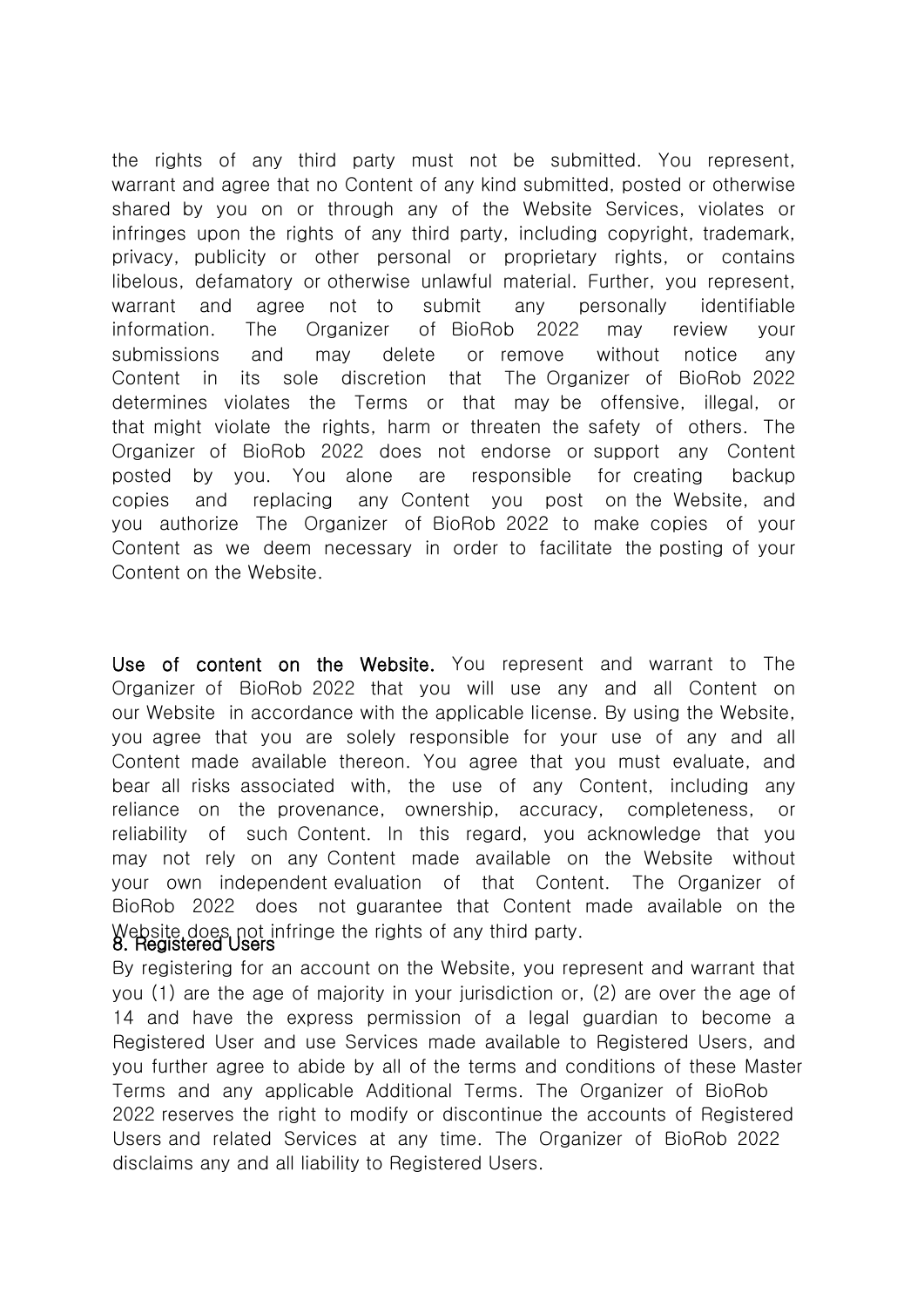the rights of any third party must not be submitted. You represent, warrant and agree that no Content of any kind submitted, posted or otherwise shared by you on or through any of the Website Services, violates or infringes upon the rights of any third party, including copyright, trademark, privacy, publicity or other personal or proprietary rights, or contains libelous, defamatory or otherwise unlawful material. Further, you represent, warrant and agree not to submit any personally identifiable information. The Organizer of BioRob 2022 may review your submissions and may delete or remove without notice any Content in its sole discretion that The Organizer of BioRob 2022 determines violates the Terms or that may be offensive, illegal, or that might violate the rights, harm or threaten the safety of others. The Organizer of BioRob 2022 does not endorse or support any Content posted by you. You alone are responsible for creating backup copies and replacing any Content you post on the Website, and you authorize The Organizer of BioRob 2022 to make copies of your Content as we deem necessary in order to facilitate the posting of your Content on the Website.

Use of content on the Website. You represent and warrant to The Organizer of BioRob 2022 that you will use any and all Content on our Website in accordance with the applicable license. By using the Website, you agree that you are solely responsible for your use of any and all Content made available thereon. You agree that you must evaluate, and bear all risks associated with, the use of any Content, including any reliance on the provenance, ownership, accuracy, completeness, or reliability of such Content. In this regard, you acknowledge that you may not rely on any Content made available on the Website without your own independent evaluation of that Content. The Organizer of BioRob 2022 does not guarantee that Content made available on the Website does not infringe the rights of any third party.<br>8. Registered Users

By registering for an account on the Website, you represent and warrant that you (1) are the age of majority in your jurisdiction or, (2) are over the age of 14 and have the express permission of a legal guardian to become a Registered User and use Services made available to Registered Users, and you further agree to abide by all of the terms and conditions of these Master Terms and any applicable Additional Terms. The Organizer of BioRob 2022 reserves the right to modify or discontinue the accounts of Registered Users and related Services at any time. The Organizer of BioRob 2022 disclaims any and all liability to Registered Users.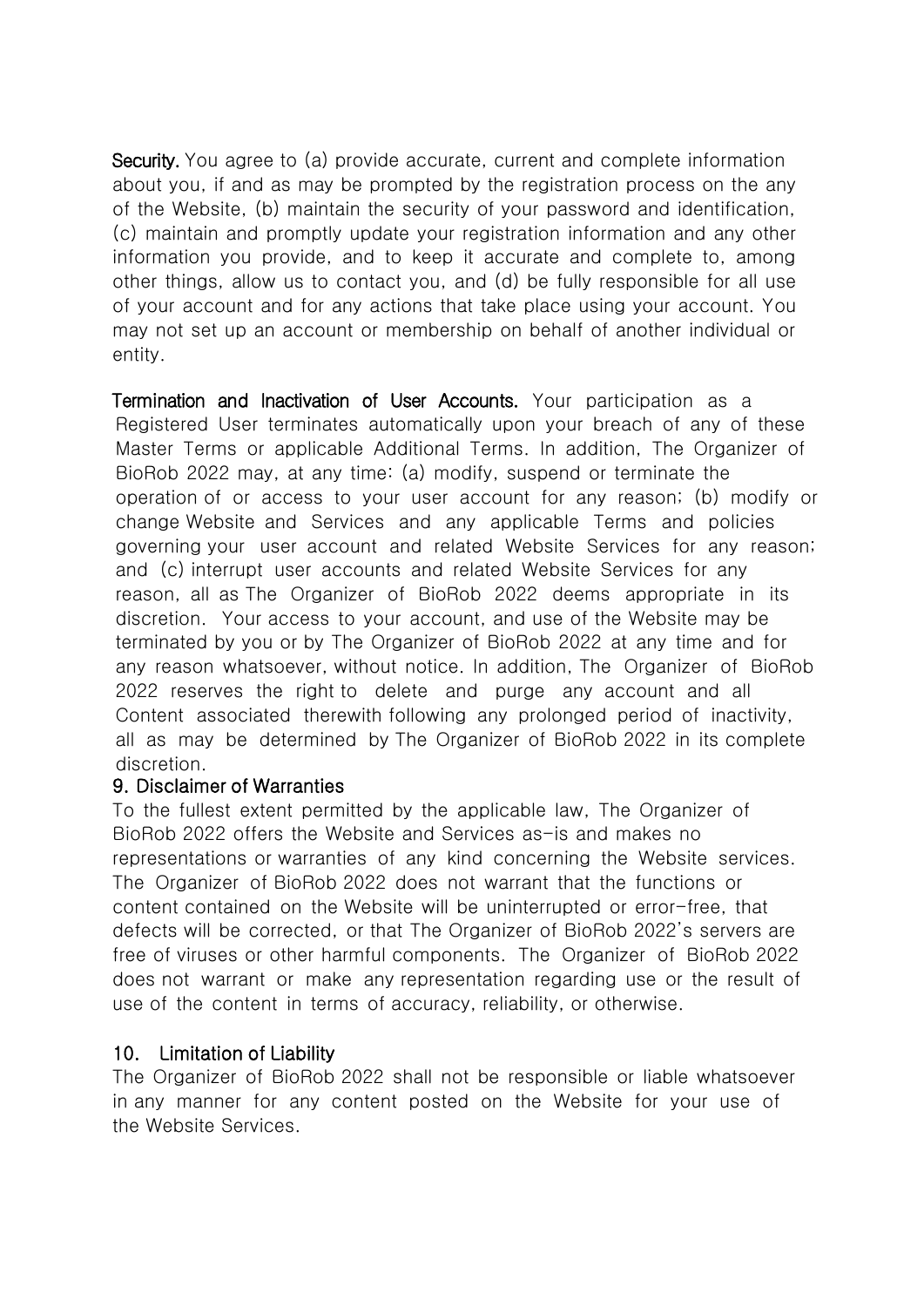Security. You agree to (a) provide accurate, current and complete information about you, if and as may be prompted by the registration process on the any of the Website, (b) maintain the security of your password and identification, (c) maintain and promptly update your registration information and any other information you provide, and to keep it accurate and complete to, among other things, allow us to contact you, and (d) be fully responsible for all use of your account and for any actions that take place using your account. You may not set up an account or membership on behalf of another individual or entity.

Termination and Inactivation of User Accounts. Your participation as a Registered User terminates automatically upon your breach of any of these Master Terms or applicable Additional Terms. In addition, The Organizer of BioRob 2022 may, at any time: (a) modify, suspend or terminate the operation of or access to your user account for any reason; (b) modify or change Website and Services and any applicable Terms and policies governing your user account and related Website Services for any reason; and (c) interrupt user accounts and related Website Services for any reason, all as The Organizer of BioRob 2022 deems appropriate in its discretion. Your access to your account, and use of the Website may be terminated by you or by The Organizer of BioRob 2022 at any time and for any reason whatsoever, without notice. In addition, The Organizer of BioRob 2022 reserves the right to delete and purge any account and all Content associated therewith following any prolonged period of inactivity, all as may be determined by The Organizer of BioRob 2022 in its complete discretion.

#### 9. Disclaimer of Warranties

To the fullest extent permitted by the applicable law, The Organizer of BioRob 2022 offers the Website and Services as-is and makes no representations or warranties of any kind concerning the Website services. The Organizer of BioRob 2022 does not warrant that the functions or content contained on the Website will be uninterrupted or error-free, that defects will be corrected, or that The Organizer of BioRob 2022's servers are free of viruses or other harmful components. The Organizer of BioRob 2022 does not warrant or make any representation regarding use or the result of use of the content in terms of accuracy, reliability, or otherwise.

### 10. Limitation of Liability

The Organizer of BioRob 2022 shall not be responsible or liable whatsoever in any manner for any content posted on the Website for your use of the Website Services.